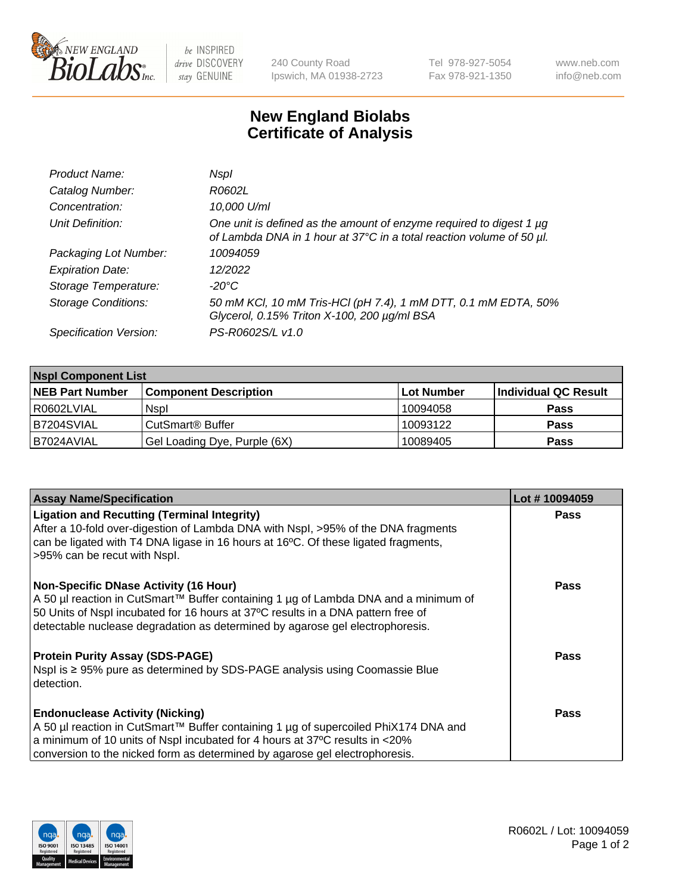

 $be$  INSPIRED drive DISCOVERY stay GENUINE

240 County Road Ipswich, MA 01938-2723 Tel 978-927-5054 Fax 978-921-1350 www.neb.com info@neb.com

## **New England Biolabs Certificate of Analysis**

| Product Name:              | Nspl                                                                                                                                        |
|----------------------------|---------------------------------------------------------------------------------------------------------------------------------------------|
| Catalog Number:            | R0602L                                                                                                                                      |
| Concentration:             | 10,000 U/ml                                                                                                                                 |
| Unit Definition:           | One unit is defined as the amount of enzyme required to digest 1 µg<br>of Lambda DNA in 1 hour at 37°C in a total reaction volume of 50 µl. |
| Packaging Lot Number:      | 10094059                                                                                                                                    |
| <b>Expiration Date:</b>    | 12/2022                                                                                                                                     |
| Storage Temperature:       | -20°C                                                                                                                                       |
| <b>Storage Conditions:</b> | 50 mM KCl, 10 mM Tris-HCl (pH 7.4), 1 mM DTT, 0.1 mM EDTA, 50%<br>Glycerol, 0.15% Triton X-100, 200 µg/ml BSA                               |
| Specification Version:     | PS-R0602S/L v1.0                                                                                                                            |

| <b>Nspl Component List</b> |                              |                   |                      |  |  |
|----------------------------|------------------------------|-------------------|----------------------|--|--|
| <b>NEB Part Number</b>     | <b>Component Description</b> | <b>Lot Number</b> | Individual QC Result |  |  |
| R0602LVIAL                 | <b>Nspl</b>                  | 10094058          | <b>Pass</b>          |  |  |
| B7204SVIAL                 | CutSmart <sup>®</sup> Buffer | 10093122          | <b>Pass</b>          |  |  |
| IB7024AVIAL                | Gel Loading Dye, Purple (6X) | 10089405          | <b>Pass</b>          |  |  |

| <b>Assay Name/Specification</b>                                                                                    | Lot #10094059 |
|--------------------------------------------------------------------------------------------------------------------|---------------|
| <b>Ligation and Recutting (Terminal Integrity)</b>                                                                 | <b>Pass</b>   |
| After a 10-fold over-digestion of Lambda DNA with Nspl, >95% of the DNA fragments                                  |               |
| can be ligated with T4 DNA ligase in 16 hours at 16°C. Of these ligated fragments,<br>>95% can be recut with Nspl. |               |
|                                                                                                                    |               |
| <b>Non-Specific DNase Activity (16 Hour)</b>                                                                       | <b>Pass</b>   |
| A 50 µl reaction in CutSmart™ Buffer containing 1 µg of Lambda DNA and a minimum of                                |               |
| 50 Units of Nspl incubated for 16 hours at 37°C results in a DNA pattern free of                                   |               |
| detectable nuclease degradation as determined by agarose gel electrophoresis.                                      |               |
| <b>Protein Purity Assay (SDS-PAGE)</b>                                                                             | <b>Pass</b>   |
| Nspl is ≥ 95% pure as determined by SDS-PAGE analysis using Coomassie Blue                                         |               |
| detection.                                                                                                         |               |
|                                                                                                                    |               |
| <b>Endonuclease Activity (Nicking)</b>                                                                             | Pass          |
| A 50 µl reaction in CutSmart™ Buffer containing 1 µg of supercoiled PhiX174 DNA and                                |               |
| a minimum of 10 units of Nspl incubated for 4 hours at 37°C results in <20%                                        |               |
| conversion to the nicked form as determined by agarose gel electrophoresis.                                        |               |